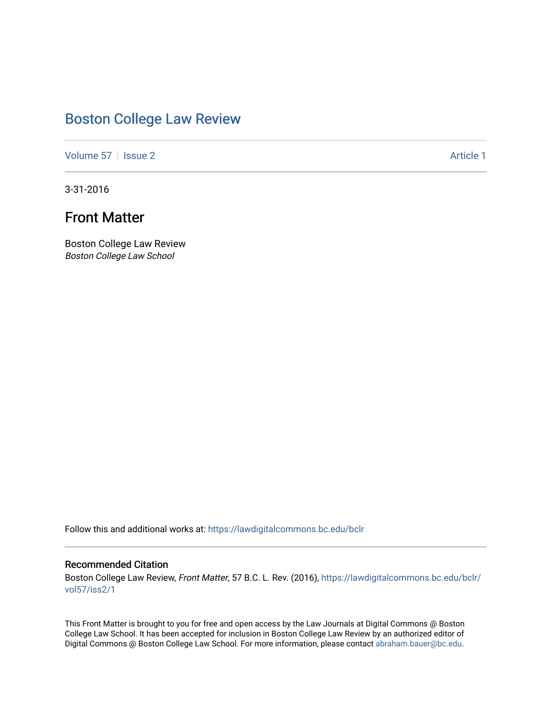## [Boston College Law Review](https://lawdigitalcommons.bc.edu/bclr)

[Volume 57](https://lawdigitalcommons.bc.edu/bclr/vol57) | [Issue 2](https://lawdigitalcommons.bc.edu/bclr/vol57/iss2) Article 1

3-31-2016

## Front Matter

Boston College Law Review Boston College Law School

Follow this and additional works at: [https://lawdigitalcommons.bc.edu/bclr](https://lawdigitalcommons.bc.edu/bclr?utm_source=lawdigitalcommons.bc.edu%2Fbclr%2Fvol57%2Fiss2%2F1&utm_medium=PDF&utm_campaign=PDFCoverPages) 

### Recommended Citation

Boston College Law Review, Front Matter, 57 B.C. L. Rev. (2016), [https://lawdigitalcommons.bc.edu/bclr/](https://lawdigitalcommons.bc.edu/bclr/vol57/iss2/1?utm_source=lawdigitalcommons.bc.edu%2Fbclr%2Fvol57%2Fiss2%2F1&utm_medium=PDF&utm_campaign=PDFCoverPages) [vol57/iss2/1](https://lawdigitalcommons.bc.edu/bclr/vol57/iss2/1?utm_source=lawdigitalcommons.bc.edu%2Fbclr%2Fvol57%2Fiss2%2F1&utm_medium=PDF&utm_campaign=PDFCoverPages)

This Front Matter is brought to you for free and open access by the Law Journals at Digital Commons @ Boston College Law School. It has been accepted for inclusion in Boston College Law Review by an authorized editor of Digital Commons @ Boston College Law School. For more information, please contact [abraham.bauer@bc.edu](mailto:abraham.bauer@bc.edu).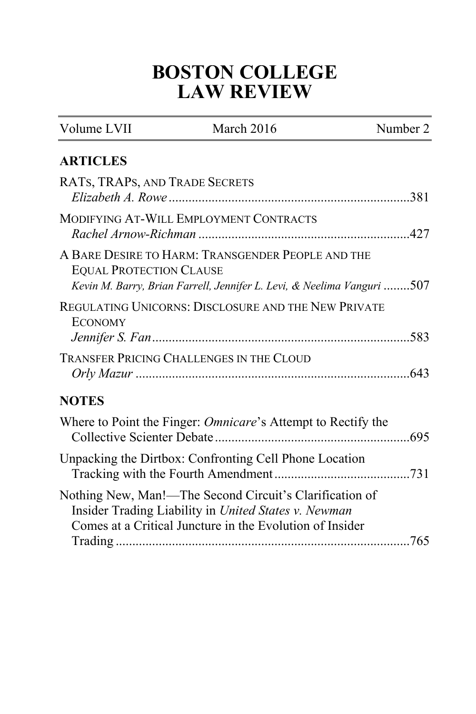# **BOSTON COLLEGE LAW REVIEW**

| Volume LVII                    | March 2016                                                                                                                                                                  | Number 2 |
|--------------------------------|-----------------------------------------------------------------------------------------------------------------------------------------------------------------------------|----------|
| <b>ARTICLES</b>                |                                                                                                                                                                             |          |
| RATS, TRAPS, AND TRADE SECRETS |                                                                                                                                                                             |          |
|                                | MODIFYING AT-WILL EMPLOYMENT CONTRACTS                                                                                                                                      |          |
| <b>EQUAL PROTECTION CLAUSE</b> | A BARE DESIRE TO HARM: TRANSGENDER PEOPLE AND THE<br>Kevin M. Barry, Brian Farrell, Jennifer L. Levi, & Neelima Vanguri 507                                                 |          |
| <b>ECONOMY</b>                 | REGULATING UNICORNS: DISCLOSURE AND THE NEW PRIVATE                                                                                                                         |          |
|                                | <b>TRANSFER PRICING CHALLENGES IN THE CLOUD</b>                                                                                                                             |          |
| <b>NOTES</b>                   |                                                                                                                                                                             |          |
|                                | Where to Point the Finger: <i>Omnicare</i> 's Attempt to Rectify the                                                                                                        |          |
|                                | Unpacking the Dirtbox: Confronting Cell Phone Location                                                                                                                      |          |
|                                | Nothing New, Man!-The Second Circuit's Clarification of<br>Insider Trading Liability in United States v. Newman<br>Comes at a Critical Juncture in the Evolution of Insider |          |
|                                |                                                                                                                                                                             |          |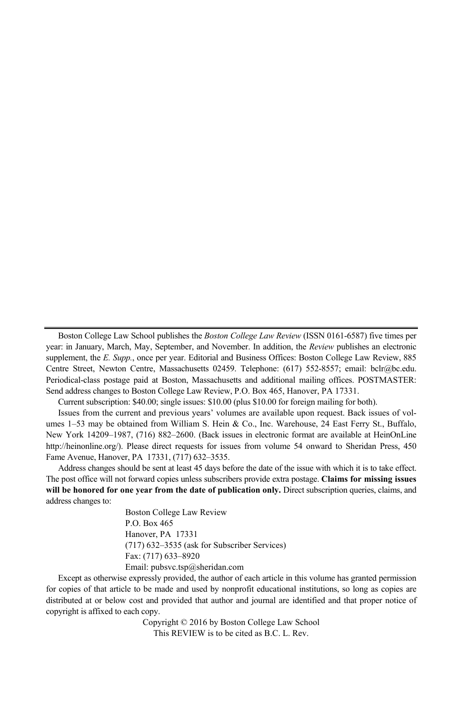Boston College Law School publishes the *Boston College Law Review* (ISSN 0161-6587) five times per year: in January, March, May, September, and November. In addition, the *Review* publishes an electronic supplement, the *E. Supp.*, once per year. Editorial and Business Offices: Boston College Law Review, 885 Centre Street, Newton Centre, Massachusetts 02459. Telephone: (617) 552-8557; email: bclr@bc.edu. Periodical-class postage paid at Boston, Massachusetts and additional mailing offices. POSTMASTER: Send address changes to Boston College Law Review, P.O. Box 465, Hanover, PA 17331.

Current subscription: \$40.00; single issues: \$10.00 (plus \$10.00 for foreign mailing for both).

Issues from the current and previous years' volumes are available upon request. Back issues of volumes 1–53 may be obtained from William S. Hein & Co., Inc. Warehouse, 24 East Ferry St., Buffalo, New York 14209–1987, (716) 882–2600. (Back issues in electronic format are available at HeinOnLine http://heinonline.org/). Please direct requests for issues from volume 54 onward to Sheridan Press, 450 Fame Avenue, Hanover, PA 17331, (717) 632–3535.

Address changes should be sent at least 45 days before the date of the issue with which it is to take effect. The post office will not forward copies unless subscribers provide extra postage. **Claims for missing issues will be honored for one year from the date of publication only.** Direct subscription queries, claims, and address changes to:

> Boston College Law Review P.O. Box 465 Hanover, PA 17331 (717) 632–3535 (ask for Subscriber Services) Fax: (717) 633–8920 Email: pubsvc.tsp@sheridan.com

Except as otherwise expressly provided, the author of each article in this volume has granted permission for copies of that article to be made and used by nonprofit educational institutions, so long as copies are distributed at or below cost and provided that author and journal are identified and that proper notice of copyright is affixed to each copy.

Copyright © 2016 by Boston College Law School This REVIEW is to be cited as B.C. L. Rev.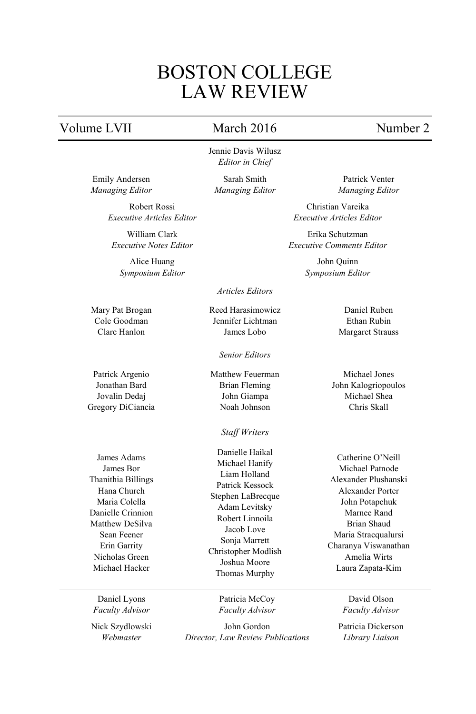## BOSTON COLLEGE LAW REVIEW

### Volume LVII March 2016 Number 2

Jennie Davis Wilusz *Editor in Chief*

Robert Rossi *Executive Articles Editor*

William Clark *Executive Notes Editor*

Alice Huang *Symposium Editor*

Mary Pat Brogan Cole Goodman Clare Hanlon

Emily Andersen *Managing Editor*

Patrick Argenio Jonathan Bard Jovalin Dedaj Gregory DiCiancia

James Adams James Bor Thanithia Billings Hana Church Maria Colella Danielle Crinnion Matthew DeSilva Sean Feener Erin Garrity Nicholas Green Michael Hacker

Daniel Lyons *Faculty Advisor*

Nick Szydlowski *Webmaster*

Sarah Smith *Managing Editor*

*Articles Editors*

Reed Harasimowicz Jennifer Lichtman James Lobo

*Senior Editors*

Matthew Feuerman Brian Fleming John Giampa Noah Johnson

*Staff Writers* 

Danielle Haikal Michael Hanify Liam Holland Patrick Kessock Stephen LaBrecque Adam Levitsky Robert Linnoila Jacob Love Sonja Marrett Christopher Modlish Joshua Moore Thomas Murphy

Patrick Venter *Managing Editor*

Christian Vareika *Executive Articles Editor*

Erika Schutzman *Executive Comments Editor*

> John Quinn *Symposium Editor*

# Daniel Ruben

Ethan Rubin Margaret Strauss

Michael Jones John Kalogriopoulos Michael Shea Chris Skall

Catherine O'Neill Michael Patnode Alexander Plushanski Alexander Porter John Potapchuk Marnee Rand Brian Shaud Maria Stracqualursi Charanya Viswanathan Amelia Wirts Laura Zapata-Kim

Patricia McCoy *Faculty Advisor*

John Gordon *Director, Law Review Publications*

David Olson *Faculty Advisor*

Patricia Dickerson *Library Liaison*